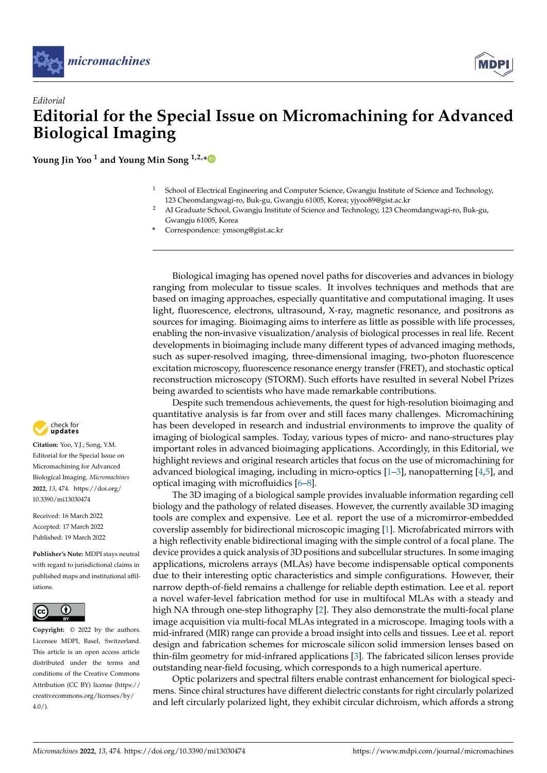



**Young Jin Yoo <sup>1</sup> and Young Min Song 1,2,[\\*](https://orcid.org/0000-0002-4473-6883)**

- <sup>1</sup> School of Electrical Engineering and Computer Science, Gwangju Institute of Science and Technology, 123 Cheomdangwagi-ro, Buk-gu, Gwangju 61005, Korea; yjyoo89@gist.ac.kr
- <sup>2</sup> AI Graduate School, Gwangju Institute of Science and Technology, 123 Cheomdangwagi-ro, Buk-gu, Gwangju 61005, Korea
- **\*** Correspondence: ymsong@gist.ac.kr

Biological imaging has opened novel paths for discoveries and advances in biology ranging from molecular to tissue scales. It involves techniques and methods that are based on imaging approaches, especially quantitative and computational imaging. It uses light, fluorescence, electrons, ultrasound, X-ray, magnetic resonance, and positrons as sources for imaging. Bioimaging aims to interfere as little as possible with life processes, enabling the non-invasive visualization/analysis of biological processes in real life. Recent developments in bioimaging include many different types of advanced imaging methods, such as super-resolved imaging, three-dimensional imaging, two-photon fluorescence excitation microscopy, fluorescence resonance energy transfer (FRET), and stochastic optical reconstruction microscopy (STORM). Such efforts have resulted in several Nobel Prizes being awarded to scientists who have made remarkable contributions.

Despite such tremendous achievements, the quest for high-resolution bioimaging and quantitative analysis is far from over and still faces many challenges. Micromachining has been developed in research and industrial environments to improve the quality of imaging of biological samples. Today, various types of micro- and nano-structures play important roles in advanced bioimaging applications. Accordingly, in this Editorial, we highlight reviews and original research articles that focus on the use of micromachining for advanced biological imaging, including in micro-optics  $[1-3]$  $[1-3]$ , nanopatterning  $[4,5]$  $[4,5]$ , and optical imaging with microfluidics [\[6](#page-1-4)[–8\]](#page-1-5).

The 3D imaging of a biological sample provides invaluable information regarding cell biology and the pathology of related diseases. However, the currently available 3D imaging tools are complex and expensive. Lee et al. report the use of a micromirror-embedded coverslip assembly for bidirectional microscopic imaging [\[1\]](#page-1-0). Microfabricated mirrors with a high reflectivity enable bidirectional imaging with the simple control of a focal plane. The device provides a quick analysis of 3D positions and subcellular structures. In some imaging applications, microlens arrays (MLAs) have become indispensable optical components due to their interesting optic characteristics and simple configurations. However, their narrow depth-of-field remains a challenge for reliable depth estimation. Lee et al. report a novel wafer-level fabrication method for use in multifocal MLAs with a steady and high NA through one-step lithography [\[2\]](#page-1-6). They also demonstrate the multi-focal plane image acquisition via multi-focal MLAs integrated in a microscope. Imaging tools with a mid-infrared (MIR) range can provide a broad insight into cells and tissues. Lee et al. report design and fabrication schemes for microscale silicon solid immersion lenses based on thin-film geometry for mid-infrared applications [\[3\]](#page-1-1). The fabricated silicon lenses provide outstanding near-field focusing, which corresponds to a high numerical aperture.

Optic polarizers and spectral filters enable contrast enhancement for biological specimens. Since chiral structures have different dielectric constants for right circularly polarized and left circularly polarized light, they exhibit circular dichroism, which affords a strong



**Citation:** Yoo, Y.J.; Song, Y.M. Editorial for the Special Issue on Micromachining for Advanced Biological Imaging. *Micromachines* **2022**, *13*, 474. [https://doi.org/](https://doi.org/10.3390/mi13030474) [10.3390/mi13030474](https://doi.org/10.3390/mi13030474)

Received: 16 March 2022 Accepted: 17 March 2022 Published: 19 March 2022

**Publisher's Note:** MDPI stays neutral with regard to jurisdictional claims in published maps and institutional affiliations.



**Copyright:** © 2022 by the authors. Licensee MDPI, Basel, Switzerland. This article is an open access article distributed under the terms and conditions of the Creative Commons Attribution (CC BY) license [\(https://](https://creativecommons.org/licenses/by/4.0/) [creativecommons.org/licenses/by/](https://creativecommons.org/licenses/by/4.0/)  $4.0/$ ).